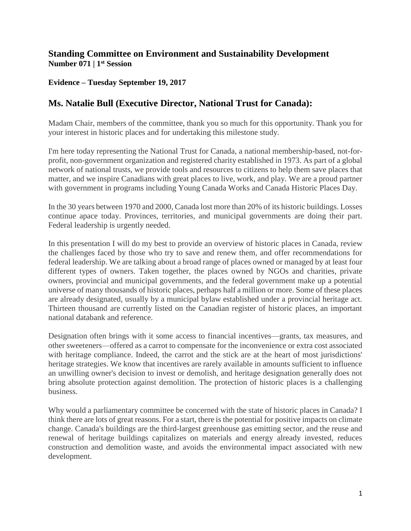## **Standing Committee on Environment and Sustainability Development Number 071 | 1st Session**

#### **Evidence – Tuesday September 19, 2017**

# **[Ms. Natalie Bull \(Executive Director, National Trust for Canada\):](http://apps.ourcommons.ca/ParlDataWidgets/en/intervention/9648891)**

Madam Chair, members of the committee, thank you so much for this opportunity. Thank you for your interest in historic places and for undertaking this milestone study.

I'm here today representing the National Trust for Canada, a national membership-based, not-forprofit, non-government organization and registered charity established in 1973. As part of a global network of national trusts, we provide tools and resources to citizens to help them save places that matter, and we inspire Canadians with great places to live, work, and play. We are a proud partner with government in programs including Young Canada Works and Canada Historic Places Day.

In the 30 years between 1970 and 2000, Canada lost more than 20% of its historic buildings. Losses continue apace today. Provinces, territories, and municipal governments are doing their part. Federal leadership is urgently needed.

In this presentation I will do my best to provide an overview of historic places in Canada, review the challenges faced by those who try to save and renew them, and offer recommendations for federal leadership. We are talking about a broad range of places owned or managed by at least four different types of owners. Taken together, the places owned by NGOs and charities, private owners, provincial and municipal governments, and the federal government make up a potential universe of many thousands of historic places, perhaps half a million or more. Some of these places are already designated, usually by a municipal bylaw established under a provincial heritage act. Thirteen thousand are currently listed on the Canadian register of historic places, an important national databank and reference.

Designation often brings with it some access to financial incentives—grants, tax measures, and other sweeteners—offered as a carrot to compensate for the inconvenience or extra cost associated with heritage compliance. Indeed, the carrot and the stick are at the heart of most jurisdictions' heritage strategies. We know that incentives are rarely available in amounts sufficient to influence an unwilling owner's decision to invest or demolish, and heritage designation generally does not bring absolute protection against demolition. The protection of historic places is a challenging business.

Why would a parliamentary committee be concerned with the state of historic places in Canada? I think there are lots of great reasons. For a start, there is the potential for positive impacts on climate change. Canada's buildings are the third-largest greenhouse gas emitting sector, and the reuse and renewal of heritage buildings capitalizes on materials and energy already invested, reduces construction and demolition waste, and avoids the environmental impact associated with new development.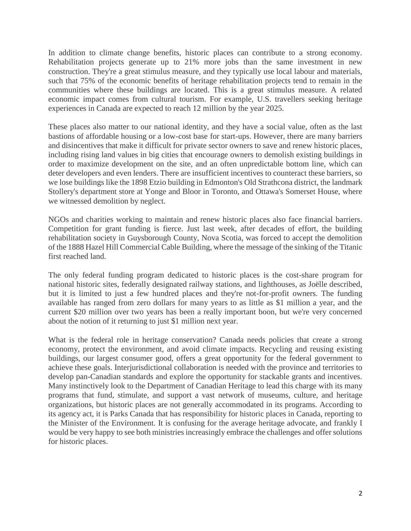In addition to climate change benefits, historic places can contribute to a strong economy. Rehabilitation projects generate up to 21% more jobs than the same investment in new construction. They're a great stimulus measure, and they typically use local labour and materials, such that 75% of the economic benefits of heritage rehabilitation projects tend to remain in the communities where these buildings are located. This is a great stimulus measure. A related economic impact comes from cultural tourism. For example, U.S. travellers seeking heritage experiences in Canada are expected to reach 12 million by the year 2025.

These places also matter to our national identity, and they have a social value, often as the last bastions of affordable housing or a low-cost base for start-ups. However, there are many barriers and disincentives that make it difficult for private sector owners to save and renew historic places, including rising land values in big cities that encourage owners to demolish existing buildings in order to maximize development on the site, and an often unpredictable bottom line, which can deter developers and even lenders. There are insufficient incentives to counteract these barriers, so we lose buildings like the 1898 Etzio building in Edmonton's Old Strathcona district, the landmark Stollery's department store at Yonge and Bloor in Toronto, and Ottawa's Somerset House, where we witnessed demolition by neglect.

NGOs and charities working to maintain and renew historic places also face financial barriers. Competition for grant funding is fierce. Just last week, after decades of effort, the building rehabilitation society in Guysborough County, Nova Scotia, was forced to accept the demolition of the 1888 Hazel Hill Commercial Cable Building, where the message of the sinking of the Titanic first reached land.

The only federal funding program dedicated to historic places is the cost-share program for national historic sites, federally designated railway stations, and lighthouses, as Joëlle described, but it is limited to just a few hundred places and they're not-for-profit owners. The funding available has ranged from zero dollars for many years to as little as \$1 million a year, and the current \$20 million over two years has been a really important boon, but we're very concerned about the notion of it returning to just \$1 million next year.

What is the federal role in heritage conservation? Canada needs policies that create a strong economy, protect the environment, and avoid climate impacts. Recycling and reusing existing buildings, our largest consumer good, offers a great opportunity for the federal government to achieve these goals. Interjurisdictional collaboration is needed with the province and territories to develop pan-Canadian standards and explore the opportunity for stackable grants and incentives. Many instinctively look to the Department of Canadian Heritage to lead this charge with its many programs that fund, stimulate, and support a vast network of museums, culture, and heritage organizations, but historic places are not generally accommodated in its programs. According to its agency act, it is Parks Canada that has responsibility for historic places in Canada, reporting to the Minister of the Environment. It is confusing for the average heritage advocate, and frankly I would be very happy to see both ministries increasingly embrace the challenges and offer solutions for historic places.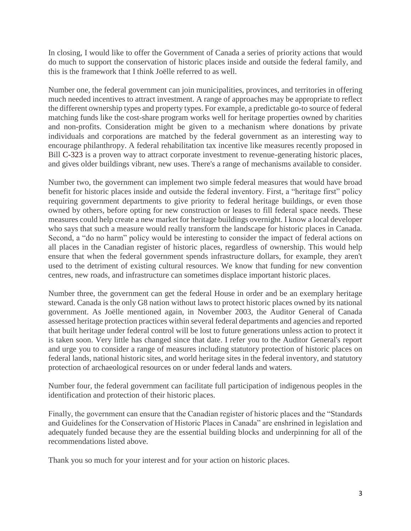In closing, I would like to offer the Government of Canada a series of priority actions that would do much to support the conservation of historic places inside and outside the federal family, and this is the framework that I think Joëlle referred to as well.

Number one, the federal government can join municipalities, provinces, and territories in offering much needed incentives to attract investment. A range of approaches may be appropriate to reflect the different ownership types and property types. For example, a predictable go-to source of federal matching funds like the cost-share program works well for heritage properties owned by charities and non-profits. Consideration might be given to a mechanism where donations by private individuals and corporations are matched by the federal government as an interesting way to encourage philanthropy. A federal rehabilitation tax incentive like measures recently proposed in Bill [C-323](http://apps.ourcommons.ca/ParlDataWidgets/en/bill/8648513) is a proven way to attract corporate investment to revenue-generating historic places, and gives older buildings vibrant, new uses. There's a range of mechanisms available to consider.

Number two, the government can implement two simple federal measures that would have broad benefit for historic places inside and outside the federal inventory. First, a "heritage first" policy requiring government departments to give priority to federal heritage buildings, or even those owned by others, before opting for new construction or leases to fill federal space needs. These measures could help create a new market for heritage buildings overnight. I know a local developer who says that such a measure would really transform the landscape for historic places in Canada. Second, a "do no harm" policy would be interesting to consider the impact of federal actions on all places in the Canadian register of historic places, regardless of ownership. This would help ensure that when the federal government spends infrastructure dollars, for example, they aren't used to the detriment of existing cultural resources. We know that funding for new convention centres, new roads, and infrastructure can sometimes displace important historic places.

Number three, the government can get the federal House in order and be an exemplary heritage steward. Canada is the only G8 nation without laws to protect historic places owned by its national government. As Joëlle mentioned again, in November 2003, the Auditor General of Canada assessed heritage protection practices within several federal departments and agencies and reported that built heritage under federal control will be lost to future generations unless action to protect it is taken soon. Very little has changed since that date. I refer you to the Auditor General's report and urge you to consider a range of measures including statutory protection of historic places on federal lands, national historic sites, and world heritage sites in the federal inventory, and statutory protection of archaeological resources on or under federal lands and waters.

Number four, the federal government can facilitate full participation of indigenous peoples in the identification and protection of their historic places.

Finally, the government can ensure that the Canadian register of historic places and the "Standards and Guidelines for the Conservation of Historic Places in Canada" are enshrined in legislation and adequately funded because they are the essential building blocks and underpinning for all of the recommendations listed above.

Thank you so much for your interest and for your action on historic places.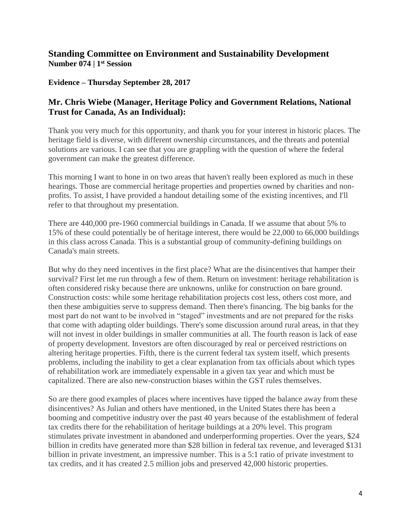## **Standing Committee on Environment and Sustainability Development Number 074 | 1st Session**

#### **Evidence – Thursday September 28, 2017**

### **[Mr. Chris Wiebe \(Manager, Heritage Policy and Government Relations, National](http://apps.ourcommons.ca/ParlDataWidgets/en/intervention/9673540)  [Trust for Canada, As an Individual\):](http://apps.ourcommons.ca/ParlDataWidgets/en/intervention/9673540)**

Thank you very much for this opportunity, and thank you for your interest in historic places. The heritage field is diverse, with different ownership circumstances, and the threats and potential solutions are various. I can see that you are grappling with the question of where the federal government can make the greatest difference.

This morning I want to hone in on two areas that haven't really been explored as much in these hearings. Those are commercial heritage properties and properties owned by charities and nonprofits. To assist, I have provided a handout detailing some of the existing incentives, and I'll refer to that throughout my presentation.

There are 440,000 pre-1960 commercial buildings in Canada. If we assume that about 5% to 15% of these could potentially be of heritage interest, there would be 22,000 to 66,000 buildings in this class across Canada. This is a substantial group of community-defining buildings on Canada's main streets.

But why do they need incentives in the first place? What are the disincentives that hamper their survival? First let me run through a few of them. Return on investment: heritage rehabilitation is often considered risky because there are unknowns, unlike for construction on bare ground. Construction costs: while some heritage rehabilitation projects cost less, others cost more, and then these ambiguities serve to suppress demand. Then there's financing. The big banks for the most part do not want to be involved in "staged" investments and are not prepared for the risks that come with adapting older buildings. There's some discussion around rural areas, in that they will not invest in older buildings in smaller communities at all. The fourth reason is lack of ease of property development. Investors are often discouraged by real or perceived restrictions on altering heritage properties. Fifth, there is the current federal tax system itself, which presents problems, including the inability to get a clear explanation from tax officials about which types of rehabilitation work are immediately expensable in a given tax year and which must be capitalized. There are also new-construction biases within the GST rules themselves.

So are there good examples of places where incentives have tipped the balance away from these disincentives? As Julian and others have mentioned, in the United States there has been a booming and competitive industry over the past 40 years because of the establishment of federal tax credits there for the rehabilitation of heritage buildings at a 20% level. This program stimulates private investment in abandoned and underperforming properties. Over the years, \$24 billion in credits have generated more than \$28 billion in federal tax revenue, and leveraged \$131 billion in private investment, an impressive number. This is a 5:1 ratio of private investment to tax credits, and it has created 2.5 million jobs and preserved 42,000 historic properties.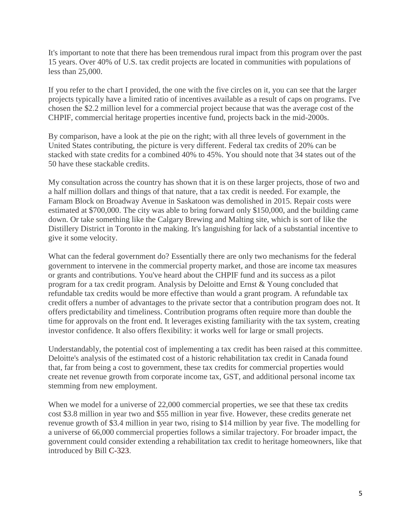It's important to note that there has been tremendous rural impact from this program over the past 15 years. Over 40% of U.S. tax credit projects are located in communities with populations of less than 25,000.

If you refer to the chart I provided, the one with the five circles on it, you can see that the larger projects typically have a limited ratio of incentives available as a result of caps on programs. I've chosen the \$2.2 million level for a commercial project because that was the average cost of the CHPIF, commercial heritage properties incentive fund, projects back in the mid-2000s.

By comparison, have a look at the pie on the right; with all three levels of government in the United States contributing, the picture is very different. Federal tax credits of 20% can be stacked with state credits for a combined 40% to 45%. You should note that 34 states out of the 50 have these stackable credits.

My consultation across the country has shown that it is on these larger projects, those of two and a half million dollars and things of that nature, that a tax credit is needed. For example, the Farnam Block on Broadway Avenue in Saskatoon was demolished in 2015. Repair costs were estimated at \$700,000. The city was able to bring forward only \$150,000, and the building came down. Or take something like the Calgary Brewing and Malting site, which is sort of like the Distillery District in Toronto in the making. It's languishing for lack of a substantial incentive to give it some velocity.

What can the federal government do? Essentially there are only two mechanisms for the federal government to intervene in the commercial property market, and those are income tax measures or grants and contributions. You've heard about the CHPIF fund and its success as a pilot program for a tax credit program. Analysis by Deloitte and Ernst & Young concluded that refundable tax credits would be more effective than would a grant program. A refundable tax credit offers a number of advantages to the private sector that a contribution program does not. It offers predictability and timeliness. Contribution programs often require more than double the time for approvals on the front end. It leverages existing familiarity with the tax system, creating investor confidence. It also offers flexibility: it works well for large or small projects.

Understandably, the potential cost of implementing a tax credit has been raised at this committee. Deloitte's analysis of the estimated cost of a historic rehabilitation tax credit in Canada found that, far from being a cost to government, these tax credits for commercial properties would create net revenue growth from corporate income tax, GST, and additional personal income tax stemming from new employment.

When we model for a universe of 22,000 commercial properties, we see that these tax credits cost \$3.8 million in year two and \$55 million in year five. However, these credits generate net revenue growth of \$3.4 million in year two, rising to \$14 million by year five. The modelling for a universe of 66,000 commercial properties follows a similar trajectory. For broader impact, the government could consider extending a rehabilitation tax credit to heritage homeowners, like that introduced by Bill [C-323.](http://apps.ourcommons.ca/ParlDataWidgets/en/bill/8648513)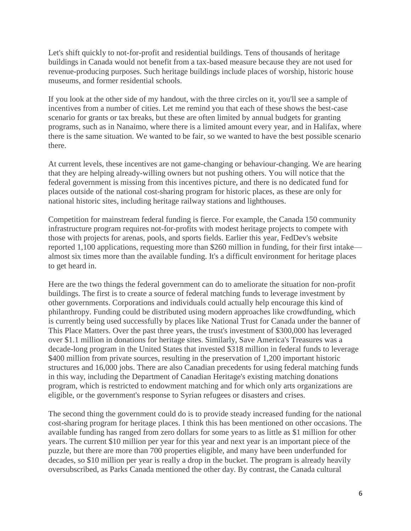Let's shift quickly to not-for-profit and residential buildings. Tens of thousands of heritage buildings in Canada would not benefit from a tax-based measure because they are not used for revenue-producing purposes. Such heritage buildings include places of worship, historic house museums, and former residential schools.

If you look at the other side of my handout, with the three circles on it, you'll see a sample of incentives from a number of cities. Let me remind you that each of these shows the best-case scenario for grants or tax breaks, but these are often limited by annual budgets for granting programs, such as in Nanaimo, where there is a limited amount every year, and in Halifax, where there is the same situation. We wanted to be fair, so we wanted to have the best possible scenario there.

At current levels, these incentives are not game-changing or behaviour-changing. We are hearing that they are helping already-willing owners but not pushing others. You will notice that the federal government is missing from this incentives picture, and there is no dedicated fund for places outside of the national cost-sharing program for historic places, as these are only for national historic sites, including heritage railway stations and lighthouses.

Competition for mainstream federal funding is fierce. For example, the Canada 150 community infrastructure program requires not-for-profits with modest heritage projects to compete with those with projects for arenas, pools, and sports fields. Earlier this year, FedDev's website reported 1,100 applications, requesting more than \$260 million in funding, for their first intake almost six times more than the available funding. It's a difficult environment for heritage places to get heard in.

Here are the two things the federal government can do to ameliorate the situation for non-profit buildings. The first is to create a source of federal matching funds to leverage investment by other governments. Corporations and individuals could actually help encourage this kind of philanthropy. Funding could be distributed using modern approaches like crowdfunding, which is currently being used successfully by places like National Trust for Canada under the banner of This Place Matters. Over the past three years, the trust's investment of \$300,000 has leveraged over \$1.1 million in donations for heritage sites. Similarly, Save America's Treasures was a decade-long program in the United States that invested \$318 million in federal funds to leverage \$400 million from private sources, resulting in the preservation of 1,200 important historic structures and 16,000 jobs. There are also Canadian precedents for using federal matching funds in this way, including the Department of Canadian Heritage's existing matching donations program, which is restricted to endowment matching and for which only arts organizations are eligible, or the government's response to Syrian refugees or disasters and crises.

The second thing the government could do is to provide steady increased funding for the national cost-sharing program for heritage places. I think this has been mentioned on other occasions. The available funding has ranged from zero dollars for some years to as little as \$1 million for other years. The current \$10 million per year for this year and next year is an important piece of the puzzle, but there are more than 700 properties eligible, and many have been underfunded for decades, so \$10 million per year is really a drop in the bucket. The program is already heavily oversubscribed, as Parks Canada mentioned the other day. By contrast, the Canada cultural